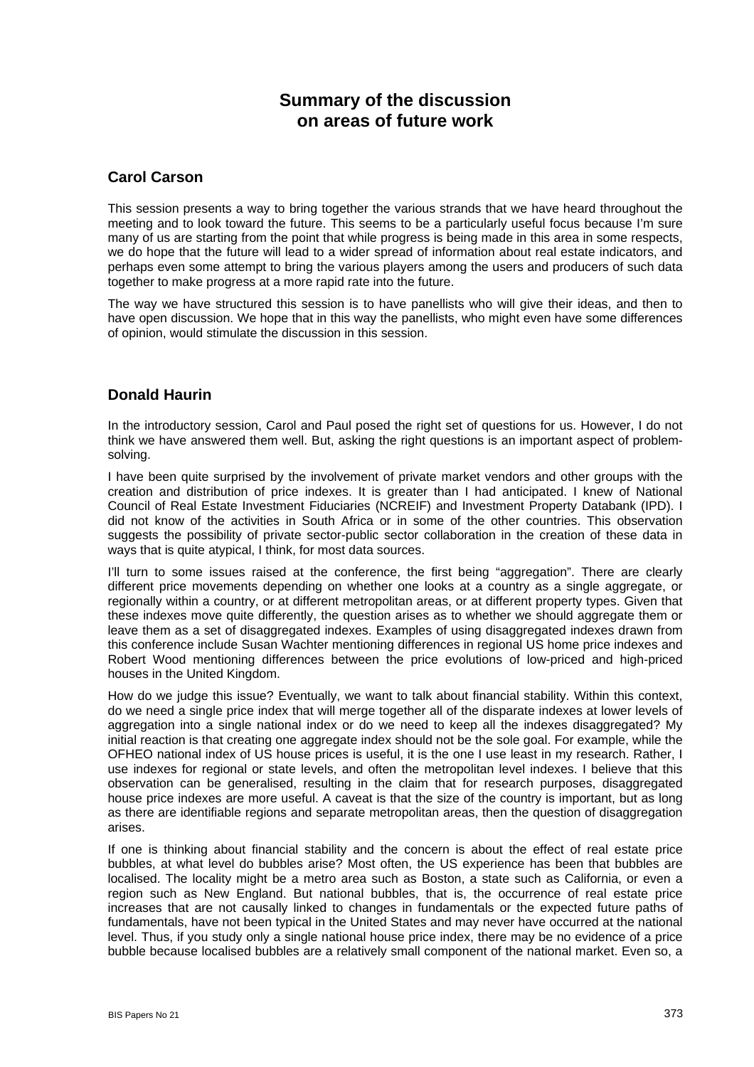# **Summary of the discussion on areas of future work**

#### **Carol Carson**

This session presents a way to bring together the various strands that we have heard throughout the meeting and to look toward the future. This seems to be a particularly useful focus because I'm sure many of us are starting from the point that while progress is being made in this area in some respects, we do hope that the future will lead to a wider spread of information about real estate indicators, and perhaps even some attempt to bring the various players among the users and producers of such data together to make progress at a more rapid rate into the future.

The way we have structured this session is to have panellists who will give their ideas, and then to have open discussion. We hope that in this way the panellists, who might even have some differences of opinion, would stimulate the discussion in this session.

## **Donald Haurin**

In the introductory session, Carol and Paul posed the right set of questions for us. However, I do not think we have answered them well. But, asking the right questions is an important aspect of problemsolving.

I have been quite surprised by the involvement of private market vendors and other groups with the creation and distribution of price indexes. It is greater than I had anticipated. I knew of National Council of Real Estate Investment Fiduciaries (NCREIF) and Investment Property Databank (IPD). I did not know of the activities in South Africa or in some of the other countries. This observation suggests the possibility of private sector-public sector collaboration in the creation of these data in ways that is quite atypical. I think, for most data sources.

I'll turn to some issues raised at the conference, the first being "aggregation". There are clearly different price movements depending on whether one looks at a country as a single aggregate, or regionally within a country, or at different metropolitan areas, or at different property types. Given that these indexes move quite differently, the question arises as to whether we should aggregate them or leave them as a set of disaggregated indexes. Examples of using disaggregated indexes drawn from this conference include Susan Wachter mentioning differences in regional US home price indexes and Robert Wood mentioning differences between the price evolutions of low-priced and high-priced houses in the United Kingdom.

How do we judge this issue? Eventually, we want to talk about financial stability. Within this context, do we need a single price index that will merge together all of the disparate indexes at lower levels of aggregation into a single national index or do we need to keep all the indexes disaggregated? My initial reaction is that creating one aggregate index should not be the sole goal. For example, while the OFHEO national index of US house prices is useful, it is the one I use least in my research. Rather, I use indexes for regional or state levels, and often the metropolitan level indexes. I believe that this observation can be generalised, resulting in the claim that for research purposes, disaggregated house price indexes are more useful. A caveat is that the size of the country is important, but as long as there are identifiable regions and separate metropolitan areas, then the question of disaggregation arises.

If one is thinking about financial stability and the concern is about the effect of real estate price bubbles, at what level do bubbles arise? Most often, the US experience has been that bubbles are localised. The locality might be a metro area such as Boston, a state such as California, or even a region such as New England. But national bubbles, that is, the occurrence of real estate price increases that are not causally linked to changes in fundamentals or the expected future paths of fundamentals, have not been typical in the United States and may never have occurred at the national level. Thus, if you study only a single national house price index, there may be no evidence of a price bubble because localised bubbles are a relatively small component of the national market. Even so, a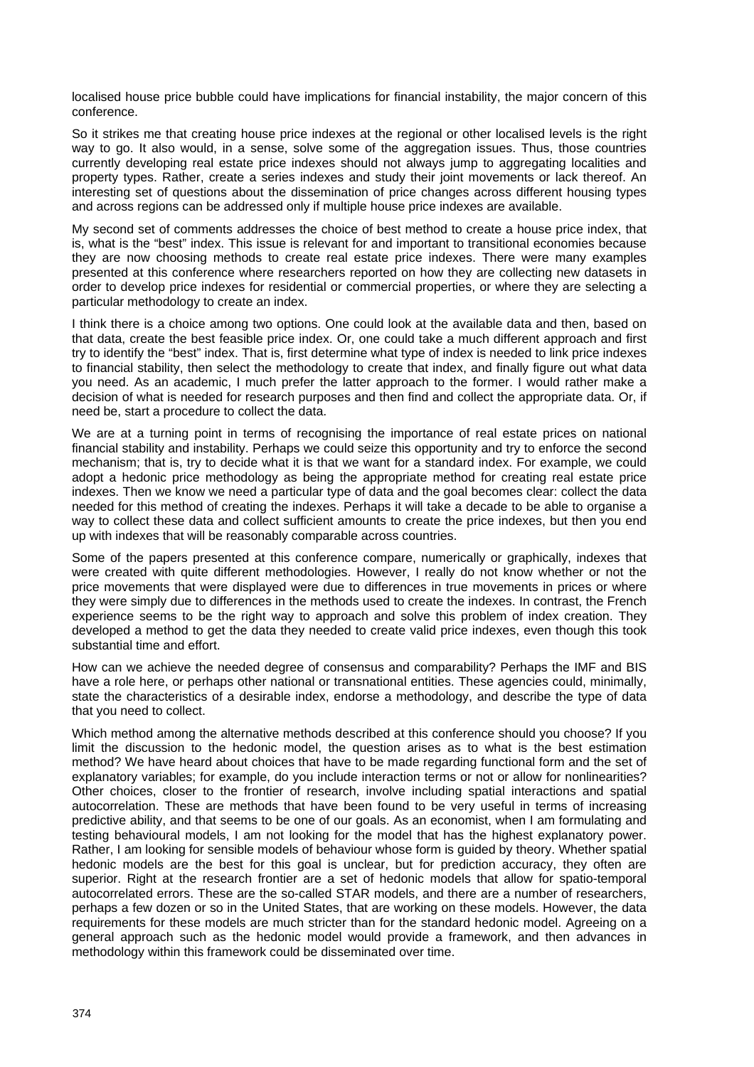localised house price bubble could have implications for financial instability, the major concern of this conference.

So it strikes me that creating house price indexes at the regional or other localised levels is the right way to go. It also would, in a sense, solve some of the aggregation issues. Thus, those countries currently developing real estate price indexes should not always jump to aggregating localities and property types. Rather, create a series indexes and study their joint movements or lack thereof. An interesting set of questions about the dissemination of price changes across different housing types and across regions can be addressed only if multiple house price indexes are available.

My second set of comments addresses the choice of best method to create a house price index, that is, what is the "best" index. This issue is relevant for and important to transitional economies because they are now choosing methods to create real estate price indexes. There were many examples presented at this conference where researchers reported on how they are collecting new datasets in order to develop price indexes for residential or commercial properties, or where they are selecting a particular methodology to create an index.

I think there is a choice among two options. One could look at the available data and then, based on that data, create the best feasible price index. Or, one could take a much different approach and first try to identify the "best" index. That is, first determine what type of index is needed to link price indexes to financial stability, then select the methodology to create that index, and finally figure out what data you need. As an academic, I much prefer the latter approach to the former. I would rather make a decision of what is needed for research purposes and then find and collect the appropriate data. Or, if need be, start a procedure to collect the data.

We are at a turning point in terms of recognising the importance of real estate prices on national financial stability and instability. Perhaps we could seize this opportunity and try to enforce the second mechanism; that is, try to decide what it is that we want for a standard index. For example, we could adopt a hedonic price methodology as being the appropriate method for creating real estate price indexes. Then we know we need a particular type of data and the goal becomes clear: collect the data needed for this method of creating the indexes. Perhaps it will take a decade to be able to organise a way to collect these data and collect sufficient amounts to create the price indexes, but then you end up with indexes that will be reasonably comparable across countries.

Some of the papers presented at this conference compare, numerically or graphically, indexes that were created with quite different methodologies. However, I really do not know whether or not the price movements that were displayed were due to differences in true movements in prices or where they were simply due to differences in the methods used to create the indexes. In contrast, the French experience seems to be the right way to approach and solve this problem of index creation. They developed a method to get the data they needed to create valid price indexes, even though this took substantial time and effort.

How can we achieve the needed degree of consensus and comparability? Perhaps the IMF and BIS have a role here, or perhaps other national or transnational entities. These agencies could, minimally, state the characteristics of a desirable index, endorse a methodology, and describe the type of data that you need to collect.

Which method among the alternative methods described at this conference should you choose? If you limit the discussion to the hedonic model, the question arises as to what is the best estimation method? We have heard about choices that have to be made regarding functional form and the set of explanatory variables; for example, do you include interaction terms or not or allow for nonlinearities? Other choices, closer to the frontier of research, involve including spatial interactions and spatial autocorrelation. These are methods that have been found to be very useful in terms of increasing predictive ability, and that seems to be one of our goals. As an economist, when I am formulating and testing behavioural models, I am not looking for the model that has the highest explanatory power. Rather, I am looking for sensible models of behaviour whose form is guided by theory. Whether spatial hedonic models are the best for this goal is unclear, but for prediction accuracy, they often are superior. Right at the research frontier are a set of hedonic models that allow for spatio-temporal autocorrelated errors. These are the so-called STAR models, and there are a number of researchers, perhaps a few dozen or so in the United States, that are working on these models. However, the data requirements for these models are much stricter than for the standard hedonic model. Agreeing on a general approach such as the hedonic model would provide a framework, and then advances in methodology within this framework could be disseminated over time.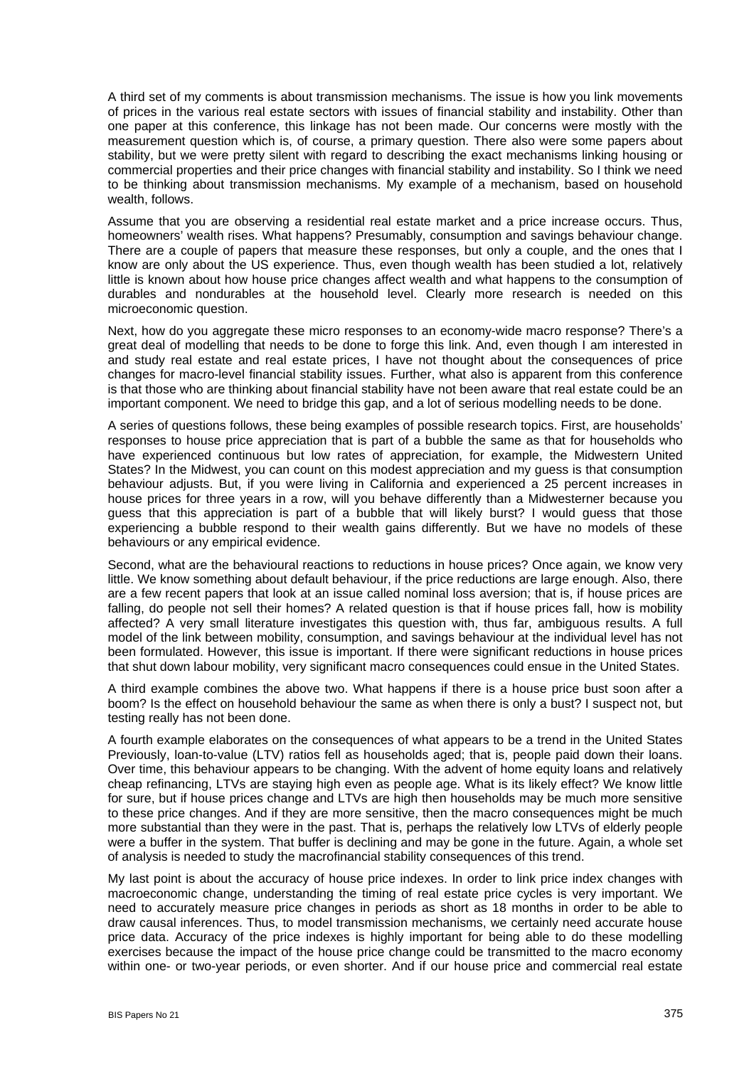A third set of my comments is about transmission mechanisms. The issue is how you link movements of prices in the various real estate sectors with issues of financial stability and instability. Other than one paper at this conference, this linkage has not been made. Our concerns were mostly with the measurement question which is, of course, a primary question. There also were some papers about stability, but we were pretty silent with regard to describing the exact mechanisms linking housing or commercial properties and their price changes with financial stability and instability. So I think we need to be thinking about transmission mechanisms. My example of a mechanism, based on household wealth, follows.

Assume that you are observing a residential real estate market and a price increase occurs. Thus, homeowners' wealth rises. What happens? Presumably, consumption and savings behaviour change. There are a couple of papers that measure these responses, but only a couple, and the ones that I know are only about the US experience. Thus, even though wealth has been studied a lot, relatively little is known about how house price changes affect wealth and what happens to the consumption of durables and nondurables at the household level. Clearly more research is needed on this microeconomic question.

Next, how do you aggregate these micro responses to an economy-wide macro response? There's a great deal of modelling that needs to be done to forge this link. And, even though I am interested in and study real estate and real estate prices, I have not thought about the consequences of price changes for macro-level financial stability issues. Further, what also is apparent from this conference is that those who are thinking about financial stability have not been aware that real estate could be an important component. We need to bridge this gap, and a lot of serious modelling needs to be done.

A series of questions follows, these being examples of possible research topics. First, are households' responses to house price appreciation that is part of a bubble the same as that for households who have experienced continuous but low rates of appreciation, for example, the Midwestern United States? In the Midwest, you can count on this modest appreciation and my guess is that consumption behaviour adjusts. But, if you were living in California and experienced a 25 percent increases in house prices for three years in a row, will you behave differently than a Midwesterner because you guess that this appreciation is part of a bubble that will likely burst? I would guess that those experiencing a bubble respond to their wealth gains differently. But we have no models of these behaviours or any empirical evidence.

Second, what are the behavioural reactions to reductions in house prices? Once again, we know very little. We know something about default behaviour, if the price reductions are large enough. Also, there are a few recent papers that look at an issue called nominal loss aversion; that is, if house prices are falling, do people not sell their homes? A related question is that if house prices fall, how is mobility affected? A very small literature investigates this question with, thus far, ambiguous results. A full model of the link between mobility, consumption, and savings behaviour at the individual level has not been formulated. However, this issue is important. If there were significant reductions in house prices that shut down labour mobility, very significant macro consequences could ensue in the United States.

A third example combines the above two. What happens if there is a house price bust soon after a boom? Is the effect on household behaviour the same as when there is only a bust? I suspect not, but testing really has not been done.

A fourth example elaborates on the consequences of what appears to be a trend in the United States Previously, loan-to-value (LTV) ratios fell as households aged; that is, people paid down their loans. Over time, this behaviour appears to be changing. With the advent of home equity loans and relatively cheap refinancing, LTVs are staying high even as people age. What is its likely effect? We know little for sure, but if house prices change and LTVs are high then households may be much more sensitive to these price changes. And if they are more sensitive, then the macro consequences might be much more substantial than they were in the past. That is, perhaps the relatively low LTVs of elderly people were a buffer in the system. That buffer is declining and may be gone in the future. Again, a whole set of analysis is needed to study the macrofinancial stability consequences of this trend.

My last point is about the accuracy of house price indexes. In order to link price index changes with macroeconomic change, understanding the timing of real estate price cycles is very important. We need to accurately measure price changes in periods as short as 18 months in order to be able to draw causal inferences. Thus, to model transmission mechanisms, we certainly need accurate house price data. Accuracy of the price indexes is highly important for being able to do these modelling exercises because the impact of the house price change could be transmitted to the macro economy within one- or two-year periods, or even shorter. And if our house price and commercial real estate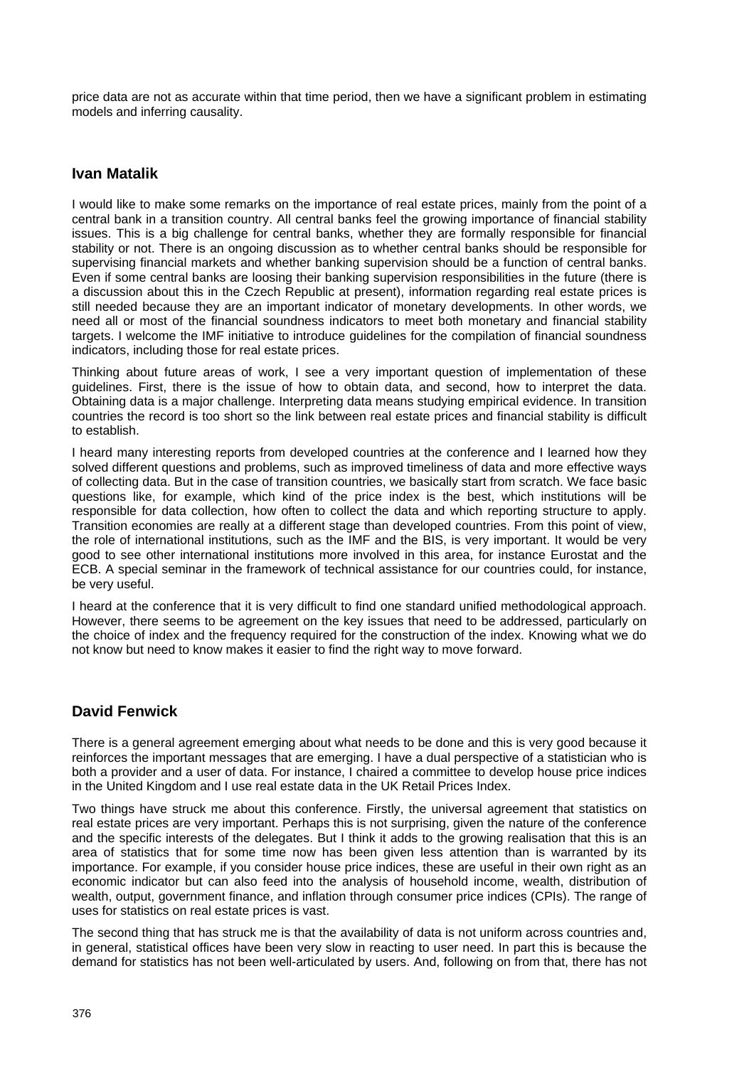price data are not as accurate within that time period, then we have a significant problem in estimating models and inferring causality.

#### **Ivan Matalik**

I would like to make some remarks on the importance of real estate prices, mainly from the point of a central bank in a transition country. All central banks feel the growing importance of financial stability issues. This is a big challenge for central banks, whether they are formally responsible for financial stability or not. There is an ongoing discussion as to whether central banks should be responsible for supervising financial markets and whether banking supervision should be a function of central banks. Even if some central banks are loosing their banking supervision responsibilities in the future (there is a discussion about this in the Czech Republic at present), information regarding real estate prices is still needed because they are an important indicator of monetary developments. In other words, we need all or most of the financial soundness indicators to meet both monetary and financial stability targets. I welcome the IMF initiative to introduce guidelines for the compilation of financial soundness indicators, including those for real estate prices.

Thinking about future areas of work, I see a very important question of implementation of these guidelines. First, there is the issue of how to obtain data, and second, how to interpret the data. Obtaining data is a major challenge. Interpreting data means studying empirical evidence. In transition countries the record is too short so the link between real estate prices and financial stability is difficult to establish.

I heard many interesting reports from developed countries at the conference and I learned how they solved different questions and problems, such as improved timeliness of data and more effective ways of collecting data. But in the case of transition countries, we basically start from scratch. We face basic questions like, for example, which kind of the price index is the best, which institutions will be responsible for data collection, how often to collect the data and which reporting structure to apply. Transition economies are really at a different stage than developed countries. From this point of view, the role of international institutions, such as the IMF and the BIS, is very important. It would be very good to see other international institutions more involved in this area, for instance Eurostat and the ECB. A special seminar in the framework of technical assistance for our countries could, for instance, be very useful.

I heard at the conference that it is very difficult to find one standard unified methodological approach. However, there seems to be agreement on the key issues that need to be addressed, particularly on the choice of index and the frequency required for the construction of the index. Knowing what we do not know but need to know makes it easier to find the right way to move forward.

## **David Fenwick**

There is a general agreement emerging about what needs to be done and this is very good because it reinforces the important messages that are emerging. I have a dual perspective of a statistician who is both a provider and a user of data. For instance, I chaired a committee to develop house price indices in the United Kingdom and I use real estate data in the UK Retail Prices Index.

Two things have struck me about this conference. Firstly, the universal agreement that statistics on real estate prices are very important. Perhaps this is not surprising, given the nature of the conference and the specific interests of the delegates. But I think it adds to the growing realisation that this is an area of statistics that for some time now has been given less attention than is warranted by its importance. For example, if you consider house price indices, these are useful in their own right as an economic indicator but can also feed into the analysis of household income, wealth, distribution of wealth, output, government finance, and inflation through consumer price indices (CPIs). The range of uses for statistics on real estate prices is vast.

The second thing that has struck me is that the availability of data is not uniform across countries and, in general, statistical offices have been very slow in reacting to user need. In part this is because the demand for statistics has not been well-articulated by users. And, following on from that, there has not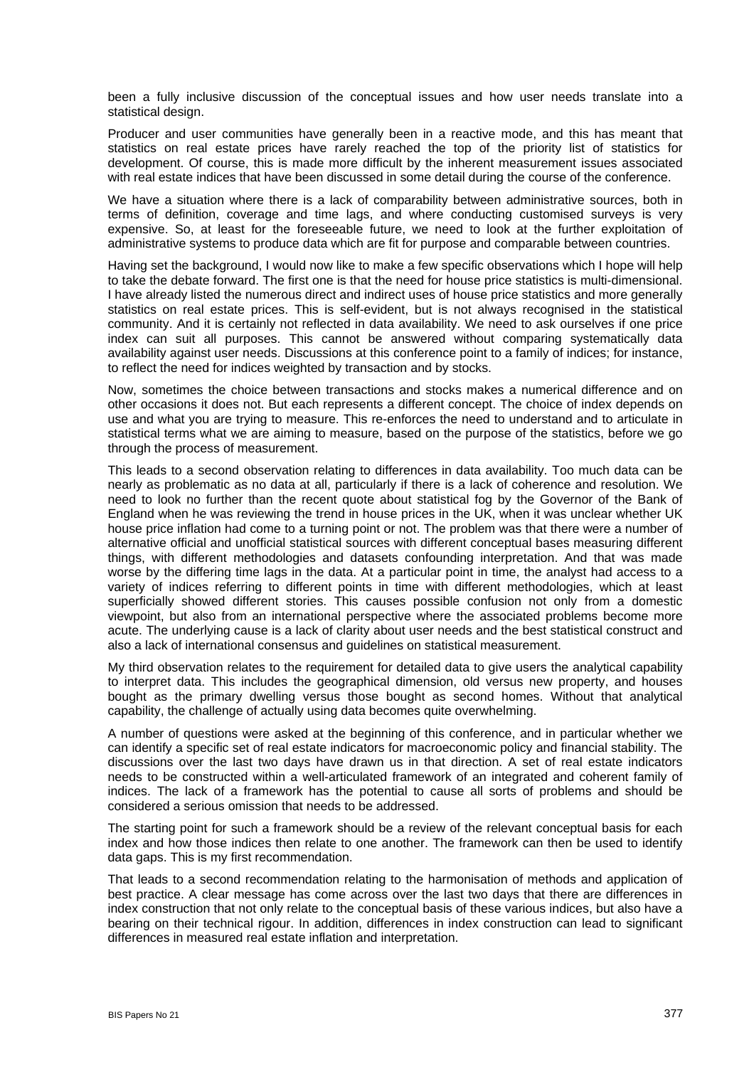been a fully inclusive discussion of the conceptual issues and how user needs translate into a statistical design.

Producer and user communities have generally been in a reactive mode, and this has meant that statistics on real estate prices have rarely reached the top of the priority list of statistics for development. Of course, this is made more difficult by the inherent measurement issues associated with real estate indices that have been discussed in some detail during the course of the conference.

We have a situation where there is a lack of comparability between administrative sources, both in terms of definition, coverage and time lags, and where conducting customised surveys is very expensive. So, at least for the foreseeable future, we need to look at the further exploitation of administrative systems to produce data which are fit for purpose and comparable between countries.

Having set the background, I would now like to make a few specific observations which I hope will help to take the debate forward. The first one is that the need for house price statistics is multi-dimensional. I have already listed the numerous direct and indirect uses of house price statistics and more generally statistics on real estate prices. This is self-evident, but is not always recognised in the statistical community. And it is certainly not reflected in data availability. We need to ask ourselves if one price index can suit all purposes. This cannot be answered without comparing systematically data availability against user needs. Discussions at this conference point to a family of indices; for instance, to reflect the need for indices weighted by transaction and by stocks.

Now, sometimes the choice between transactions and stocks makes a numerical difference and on other occasions it does not. But each represents a different concept. The choice of index depends on use and what you are trying to measure. This re-enforces the need to understand and to articulate in statistical terms what we are aiming to measure, based on the purpose of the statistics, before we go through the process of measurement.

This leads to a second observation relating to differences in data availability. Too much data can be nearly as problematic as no data at all, particularly if there is a lack of coherence and resolution. We need to look no further than the recent quote about statistical fog by the Governor of the Bank of England when he was reviewing the trend in house prices in the UK, when it was unclear whether UK house price inflation had come to a turning point or not. The problem was that there were a number of alternative official and unofficial statistical sources with different conceptual bases measuring different things, with different methodologies and datasets confounding interpretation. And that was made worse by the differing time lags in the data. At a particular point in time, the analyst had access to a variety of indices referring to different points in time with different methodologies, which at least superficially showed different stories. This causes possible confusion not only from a domestic viewpoint, but also from an international perspective where the associated problems become more acute. The underlying cause is a lack of clarity about user needs and the best statistical construct and also a lack of international consensus and guidelines on statistical measurement.

My third observation relates to the requirement for detailed data to give users the analytical capability to interpret data. This includes the geographical dimension, old versus new property, and houses bought as the primary dwelling versus those bought as second homes. Without that analytical capability, the challenge of actually using data becomes quite overwhelming.

A number of questions were asked at the beginning of this conference, and in particular whether we can identify a specific set of real estate indicators for macroeconomic policy and financial stability. The discussions over the last two days have drawn us in that direction. A set of real estate indicators needs to be constructed within a well-articulated framework of an integrated and coherent family of indices. The lack of a framework has the potential to cause all sorts of problems and should be considered a serious omission that needs to be addressed.

The starting point for such a framework should be a review of the relevant conceptual basis for each index and how those indices then relate to one another. The framework can then be used to identify data gaps. This is my first recommendation.

That leads to a second recommendation relating to the harmonisation of methods and application of best practice. A clear message has come across over the last two days that there are differences in index construction that not only relate to the conceptual basis of these various indices, but also have a bearing on their technical rigour. In addition, differences in index construction can lead to significant differences in measured real estate inflation and interpretation.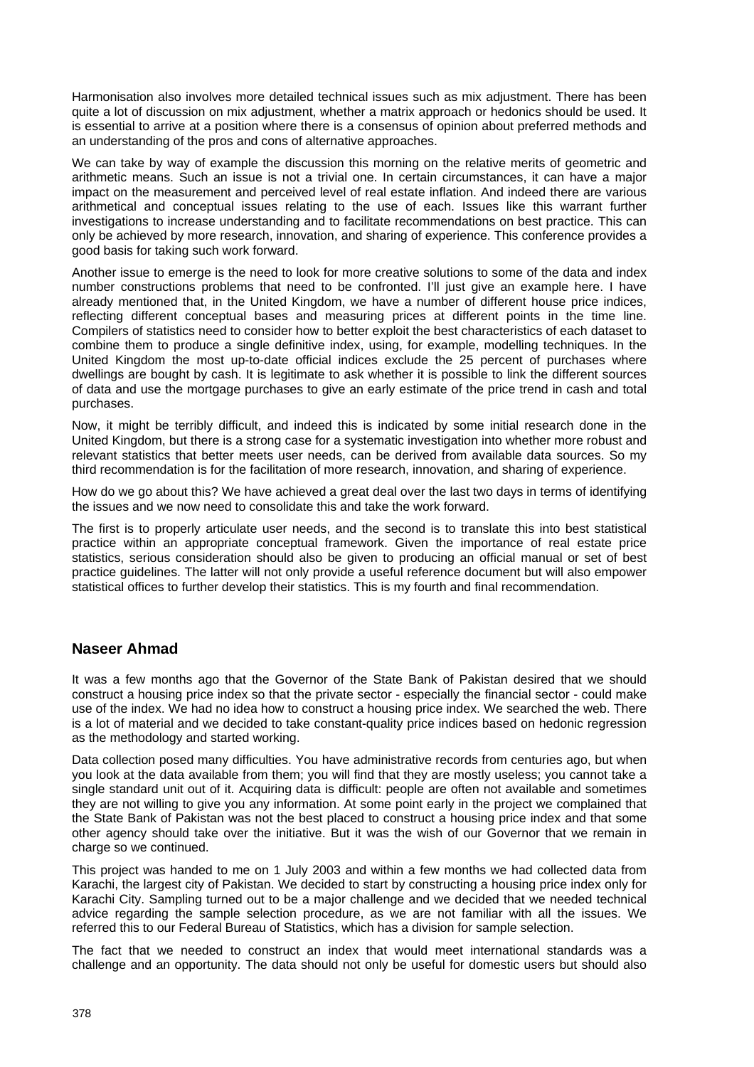Harmonisation also involves more detailed technical issues such as mix adjustment. There has been quite a lot of discussion on mix adjustment, whether a matrix approach or hedonics should be used. It is essential to arrive at a position where there is a consensus of opinion about preferred methods and an understanding of the pros and cons of alternative approaches.

We can take by way of example the discussion this morning on the relative merits of geometric and arithmetic means. Such an issue is not a trivial one. In certain circumstances, it can have a major impact on the measurement and perceived level of real estate inflation. And indeed there are various arithmetical and conceptual issues relating to the use of each. Issues like this warrant further investigations to increase understanding and to facilitate recommendations on best practice. This can only be achieved by more research, innovation, and sharing of experience. This conference provides a good basis for taking such work forward.

Another issue to emerge is the need to look for more creative solutions to some of the data and index number constructions problems that need to be confronted. I'll just give an example here. I have already mentioned that, in the United Kingdom, we have a number of different house price indices, reflecting different conceptual bases and measuring prices at different points in the time line. Compilers of statistics need to consider how to better exploit the best characteristics of each dataset to combine them to produce a single definitive index, using, for example, modelling techniques. In the United Kingdom the most up-to-date official indices exclude the 25 percent of purchases where dwellings are bought by cash. It is legitimate to ask whether it is possible to link the different sources of data and use the mortgage purchases to give an early estimate of the price trend in cash and total purchases.

Now, it might be terribly difficult, and indeed this is indicated by some initial research done in the United Kingdom, but there is a strong case for a systematic investigation into whether more robust and relevant statistics that better meets user needs, can be derived from available data sources. So my third recommendation is for the facilitation of more research, innovation, and sharing of experience.

How do we go about this? We have achieved a great deal over the last two days in terms of identifying the issues and we now need to consolidate this and take the work forward.

The first is to properly articulate user needs, and the second is to translate this into best statistical practice within an appropriate conceptual framework. Given the importance of real estate price statistics, serious consideration should also be given to producing an official manual or set of best practice guidelines. The latter will not only provide a useful reference document but will also empower statistical offices to further develop their statistics. This is my fourth and final recommendation.

#### **Naseer Ahmad**

It was a few months ago that the Governor of the State Bank of Pakistan desired that we should construct a housing price index so that the private sector - especially the financial sector - could make use of the index. We had no idea how to construct a housing price index. We searched the web. There is a lot of material and we decided to take constant-quality price indices based on hedonic regression as the methodology and started working.

Data collection posed many difficulties. You have administrative records from centuries ago, but when you look at the data available from them; you will find that they are mostly useless; you cannot take a single standard unit out of it. Acquiring data is difficult: people are often not available and sometimes they are not willing to give you any information. At some point early in the project we complained that the State Bank of Pakistan was not the best placed to construct a housing price index and that some other agency should take over the initiative. But it was the wish of our Governor that we remain in charge so we continued.

This project was handed to me on 1 July 2003 and within a few months we had collected data from Karachi, the largest city of Pakistan. We decided to start by constructing a housing price index only for Karachi City. Sampling turned out to be a major challenge and we decided that we needed technical advice regarding the sample selection procedure, as we are not familiar with all the issues. We referred this to our Federal Bureau of Statistics, which has a division for sample selection.

The fact that we needed to construct an index that would meet international standards was a challenge and an opportunity. The data should not only be useful for domestic users but should also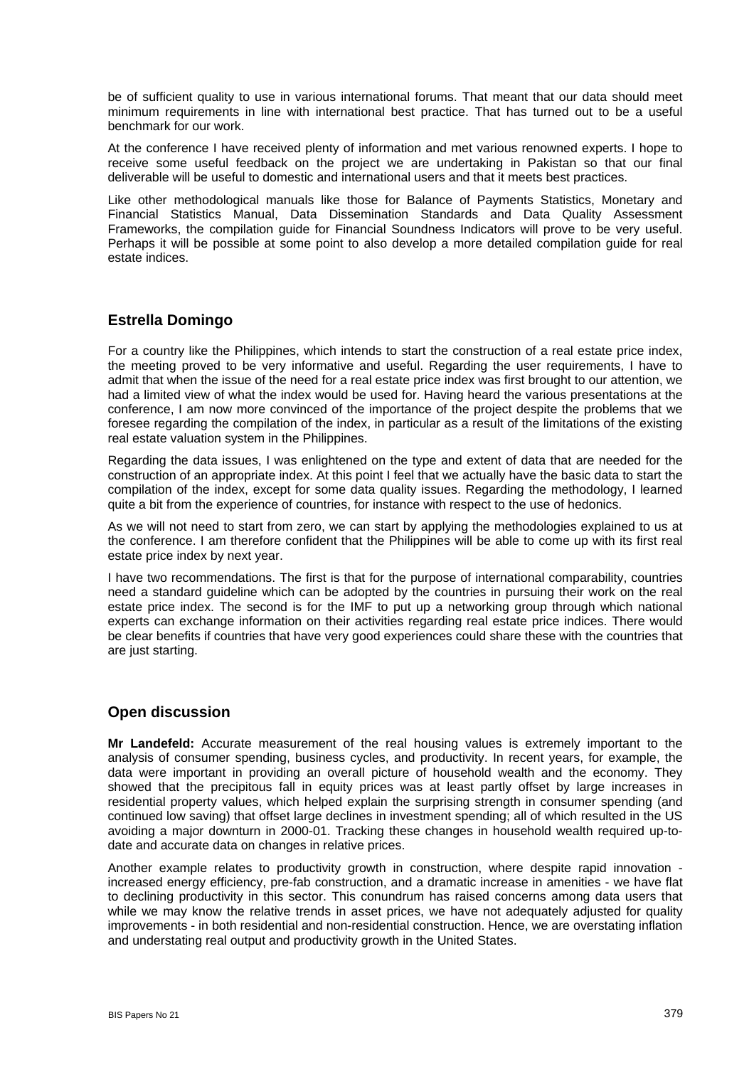be of sufficient quality to use in various international forums. That meant that our data should meet minimum requirements in line with international best practice. That has turned out to be a useful benchmark for our work.

At the conference I have received plenty of information and met various renowned experts. I hope to receive some useful feedback on the project we are undertaking in Pakistan so that our final deliverable will be useful to domestic and international users and that it meets best practices.

Like other methodological manuals like those for Balance of Payments Statistics, Monetary and Financial Statistics Manual, Data Dissemination Standards and Data Quality Assessment Frameworks, the compilation guide for Financial Soundness Indicators will prove to be very useful. Perhaps it will be possible at some point to also develop a more detailed compilation guide for real estate indices.

## **Estrella Domingo**

For a country like the Philippines, which intends to start the construction of a real estate price index, the meeting proved to be very informative and useful. Regarding the user requirements, I have to admit that when the issue of the need for a real estate price index was first brought to our attention, we had a limited view of what the index would be used for. Having heard the various presentations at the conference, I am now more convinced of the importance of the project despite the problems that we foresee regarding the compilation of the index, in particular as a result of the limitations of the existing real estate valuation system in the Philippines.

Regarding the data issues, I was enlightened on the type and extent of data that are needed for the construction of an appropriate index. At this point I feel that we actually have the basic data to start the compilation of the index, except for some data quality issues. Regarding the methodology, I learned quite a bit from the experience of countries, for instance with respect to the use of hedonics.

As we will not need to start from zero, we can start by applying the methodologies explained to us at the conference. I am therefore confident that the Philippines will be able to come up with its first real estate price index by next year.

I have two recommendations. The first is that for the purpose of international comparability, countries need a standard guideline which can be adopted by the countries in pursuing their work on the real estate price index. The second is for the IMF to put up a networking group through which national experts can exchange information on their activities regarding real estate price indices. There would be clear benefits if countries that have very good experiences could share these with the countries that are just starting.

## **Open discussion**

**Mr Landefeld:** Accurate measurement of the real housing values is extremely important to the analysis of consumer spending, business cycles, and productivity. In recent years, for example, the data were important in providing an overall picture of household wealth and the economy. They showed that the precipitous fall in equity prices was at least partly offset by large increases in residential property values, which helped explain the surprising strength in consumer spending (and continued low saving) that offset large declines in investment spending; all of which resulted in the US avoiding a major downturn in 2000-01. Tracking these changes in household wealth required up-todate and accurate data on changes in relative prices.

Another example relates to productivity growth in construction, where despite rapid innovation increased energy efficiency, pre-fab construction, and a dramatic increase in amenities - we have flat to declining productivity in this sector. This conundrum has raised concerns among data users that while we may know the relative trends in asset prices, we have not adequately adjusted for quality improvements - in both residential and non-residential construction. Hence, we are overstating inflation and understating real output and productivity growth in the United States.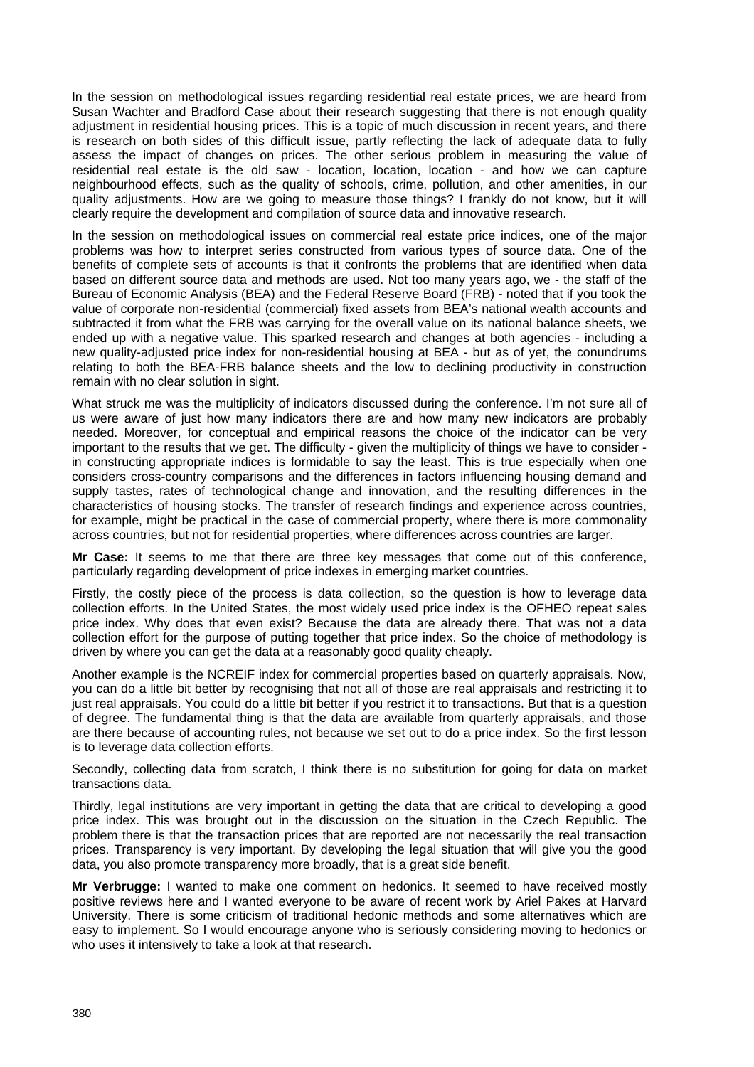In the session on methodological issues regarding residential real estate prices, we are heard from Susan Wachter and Bradford Case about their research suggesting that there is not enough quality adjustment in residential housing prices. This is a topic of much discussion in recent years, and there is research on both sides of this difficult issue, partly reflecting the lack of adequate data to fully assess the impact of changes on prices. The other serious problem in measuring the value of residential real estate is the old saw - location, location, location - and how we can capture neighbourhood effects, such as the quality of schools, crime, pollution, and other amenities, in our quality adjustments. How are we going to measure those things? I frankly do not know, but it will clearly require the development and compilation of source data and innovative research.

In the session on methodological issues on commercial real estate price indices, one of the major problems was how to interpret series constructed from various types of source data. One of the benefits of complete sets of accounts is that it confronts the problems that are identified when data based on different source data and methods are used. Not too many years ago, we - the staff of the Bureau of Economic Analysis (BEA) and the Federal Reserve Board (FRB) - noted that if you took the value of corporate non-residential (commercial) fixed assets from BEA's national wealth accounts and subtracted it from what the FRB was carrying for the overall value on its national balance sheets, we ended up with a negative value. This sparked research and changes at both agencies - including a new quality-adjusted price index for non-residential housing at BEA - but as of yet, the conundrums relating to both the BEA-FRB balance sheets and the low to declining productivity in construction remain with no clear solution in sight.

What struck me was the multiplicity of indicators discussed during the conference. I'm not sure all of us were aware of just how many indicators there are and how many new indicators are probably needed. Moreover, for conceptual and empirical reasons the choice of the indicator can be very important to the results that we get. The difficulty - given the multiplicity of things we have to consider in constructing appropriate indices is formidable to say the least. This is true especially when one considers cross-country comparisons and the differences in factors influencing housing demand and supply tastes, rates of technological change and innovation, and the resulting differences in the characteristics of housing stocks. The transfer of research findings and experience across countries, for example, might be practical in the case of commercial property, where there is more commonality across countries, but not for residential properties, where differences across countries are larger.

**Mr Case:** It seems to me that there are three key messages that come out of this conference, particularly regarding development of price indexes in emerging market countries.

Firstly, the costly piece of the process is data collection, so the question is how to leverage data collection efforts. In the United States, the most widely used price index is the OFHEO repeat sales price index. Why does that even exist? Because the data are already there. That was not a data collection effort for the purpose of putting together that price index. So the choice of methodology is driven by where you can get the data at a reasonably good quality cheaply.

Another example is the NCREIF index for commercial properties based on quarterly appraisals. Now, you can do a little bit better by recognising that not all of those are real appraisals and restricting it to just real appraisals. You could do a little bit better if you restrict it to transactions. But that is a question of degree. The fundamental thing is that the data are available from quarterly appraisals, and those are there because of accounting rules, not because we set out to do a price index. So the first lesson is to leverage data collection efforts.

Secondly, collecting data from scratch, I think there is no substitution for going for data on market transactions data.

Thirdly, legal institutions are very important in getting the data that are critical to developing a good price index. This was brought out in the discussion on the situation in the Czech Republic. The problem there is that the transaction prices that are reported are not necessarily the real transaction prices. Transparency is very important. By developing the legal situation that will give you the good data, you also promote transparency more broadly, that is a great side benefit.

**Mr Verbrugge:** I wanted to make one comment on hedonics. It seemed to have received mostly positive reviews here and I wanted everyone to be aware of recent work by Ariel Pakes at Harvard University. There is some criticism of traditional hedonic methods and some alternatives which are easy to implement. So I would encourage anyone who is seriously considering moving to hedonics or who uses it intensively to take a look at that research.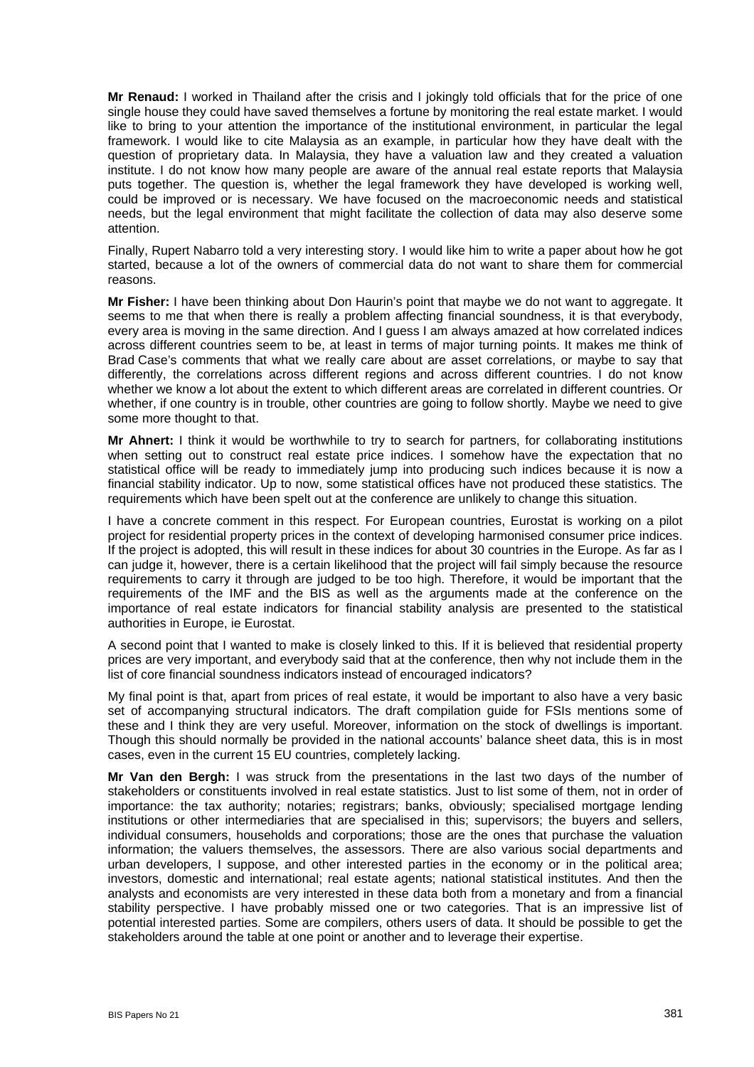**Mr Renaud:** I worked in Thailand after the crisis and I jokingly told officials that for the price of one single house they could have saved themselves a fortune by monitoring the real estate market. I would like to bring to your attention the importance of the institutional environment, in particular the legal framework. I would like to cite Malaysia as an example, in particular how they have dealt with the question of proprietary data. In Malaysia, they have a valuation law and they created a valuation institute. I do not know how many people are aware of the annual real estate reports that Malaysia puts together. The question is, whether the legal framework they have developed is working well, could be improved or is necessary. We have focused on the macroeconomic needs and statistical needs, but the legal environment that might facilitate the collection of data may also deserve some attention.

Finally, Rupert Nabarro told a very interesting story. I would like him to write a paper about how he got started, because a lot of the owners of commercial data do not want to share them for commercial reasons.

**Mr Fisher:** I have been thinking about Don Haurin's point that maybe we do not want to aggregate. It seems to me that when there is really a problem affecting financial soundness, it is that everybody, every area is moving in the same direction. And I guess I am always amazed at how correlated indices across different countries seem to be, at least in terms of major turning points. It makes me think of Brad Case's comments that what we really care about are asset correlations, or maybe to say that differently, the correlations across different regions and across different countries. I do not know whether we know a lot about the extent to which different areas are correlated in different countries. Or whether, if one country is in trouble, other countries are going to follow shortly. Maybe we need to give some more thought to that.

**Mr Ahnert:** I think it would be worthwhile to try to search for partners, for collaborating institutions when setting out to construct real estate price indices. I somehow have the expectation that no statistical office will be ready to immediately jump into producing such indices because it is now a financial stability indicator. Up to now, some statistical offices have not produced these statistics. The requirements which have been spelt out at the conference are unlikely to change this situation.

I have a concrete comment in this respect. For European countries, Eurostat is working on a pilot project for residential property prices in the context of developing harmonised consumer price indices. If the project is adopted, this will result in these indices for about 30 countries in the Europe. As far as I can judge it, however, there is a certain likelihood that the project will fail simply because the resource requirements to carry it through are judged to be too high. Therefore, it would be important that the requirements of the IMF and the BIS as well as the arguments made at the conference on the importance of real estate indicators for financial stability analysis are presented to the statistical authorities in Europe, ie Eurostat.

A second point that I wanted to make is closely linked to this. If it is believed that residential property prices are very important, and everybody said that at the conference, then why not include them in the list of core financial soundness indicators instead of encouraged indicators?

My final point is that, apart from prices of real estate, it would be important to also have a very basic set of accompanying structural indicators. The draft compilation guide for FSIs mentions some of these and I think they are very useful. Moreover, information on the stock of dwellings is important. Though this should normally be provided in the national accounts' balance sheet data, this is in most cases, even in the current 15 EU countries, completely lacking.

**Mr Van den Bergh:** I was struck from the presentations in the last two days of the number of stakeholders or constituents involved in real estate statistics. Just to list some of them, not in order of importance: the tax authority; notaries; registrars; banks, obviously; specialised mortgage lending institutions or other intermediaries that are specialised in this; supervisors; the buyers and sellers, individual consumers, households and corporations; those are the ones that purchase the valuation information; the valuers themselves, the assessors. There are also various social departments and urban developers, I suppose, and other interested parties in the economy or in the political area; investors, domestic and international; real estate agents; national statistical institutes. And then the analysts and economists are very interested in these data both from a monetary and from a financial stability perspective. I have probably missed one or two categories. That is an impressive list of potential interested parties. Some are compilers, others users of data. It should be possible to get the stakeholders around the table at one point or another and to leverage their expertise.